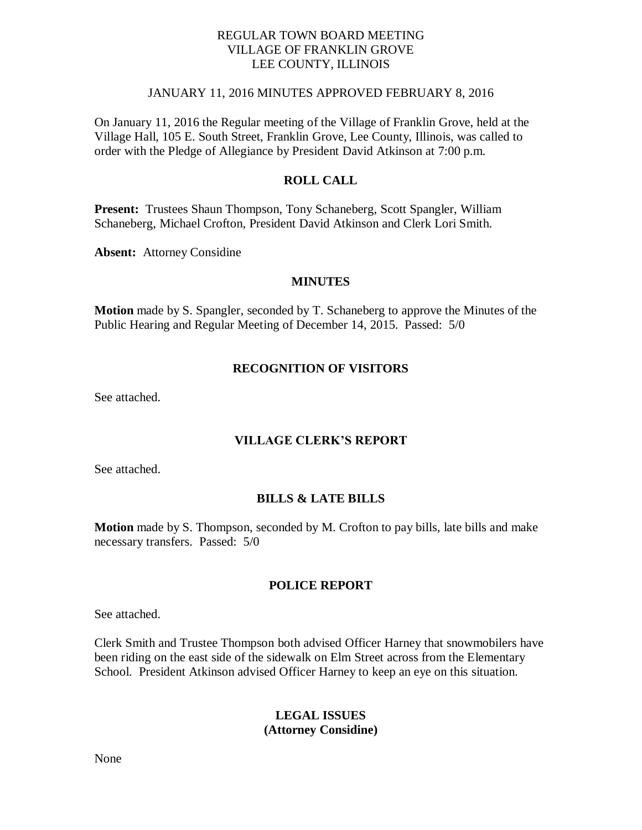## REGULAR TOWN BOARD MEETING VILLAGE OF FRANKLIN GROVE LEE COUNTY, ILLINOIS

# JANUARY 11, 2016 MINUTES APPROVED FEBRUARY 8, 2016

On January 11, 2016 the Regular meeting of the Village of Franklin Grove, held at the Village Hall, 105 E. South Street, Franklin Grove, Lee County, Illinois, was called to order with the Pledge of Allegiance by President David Atkinson at 7:00 p.m.

# **ROLL CALL**

**Present:** Trustees Shaun Thompson, Tony Schaneberg, Scott Spangler, William Schaneberg, Michael Crofton, President David Atkinson and Clerk Lori Smith.

**Absent:** Attorney Considine

### **MINUTES**

**Motion** made by S. Spangler, seconded by T. Schaneberg to approve the Minutes of the Public Hearing and Regular Meeting of December 14, 2015. Passed: 5/0

### **RECOGNITION OF VISITORS**

See attached.

### **VILLAGE CLERK'S REPORT**

See attached.

### **BILLS & LATE BILLS**

**Motion** made by S. Thompson, seconded by M. Crofton to pay bills, late bills and make necessary transfers. Passed: 5/0

### **POLICE REPORT**

See attached.

Clerk Smith and Trustee Thompson both advised Officer Harney that snowmobilers have been riding on the east side of the sidewalk on Elm Street across from the Elementary School. President Atkinson advised Officer Harney to keep an eye on this situation.

# **LEGAL ISSUES (Attorney Considine)**

None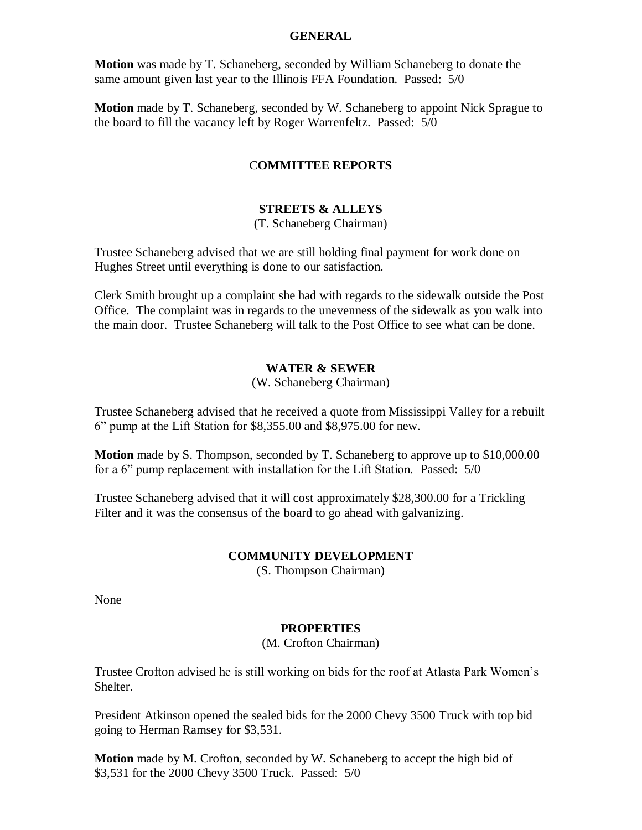### **GENERAL**

**Motion** was made by T. Schaneberg, seconded by William Schaneberg to donate the same amount given last year to the Illinois FFA Foundation. Passed: 5/0

**Motion** made by T. Schaneberg, seconded by W. Schaneberg to appoint Nick Sprague to the board to fill the vacancy left by Roger Warrenfeltz. Passed: 5/0

# C**OMMITTEE REPORTS**

# **STREETS & ALLEYS**

(T. Schaneberg Chairman)

Trustee Schaneberg advised that we are still holding final payment for work done on Hughes Street until everything is done to our satisfaction.

Clerk Smith brought up a complaint she had with regards to the sidewalk outside the Post Office. The complaint was in regards to the unevenness of the sidewalk as you walk into the main door. Trustee Schaneberg will talk to the Post Office to see what can be done.

### **WATER & SEWER**

### (W. Schaneberg Chairman)

Trustee Schaneberg advised that he received a quote from Mississippi Valley for a rebuilt 6" pump at the Lift Station for \$8,355.00 and \$8,975.00 for new.

**Motion** made by S. Thompson, seconded by T. Schaneberg to approve up to \$10,000.00 for a 6" pump replacement with installation for the Lift Station. Passed: 5/0

Trustee Schaneberg advised that it will cost approximately \$28,300.00 for a Trickling Filter and it was the consensus of the board to go ahead with galvanizing.

#### **COMMUNITY DEVELOPMENT**

(S. Thompson Chairman)

None

### **PROPERTIES**

(M. Crofton Chairman)

Trustee Crofton advised he is still working on bids for the roof at Atlasta Park Women's Shelter.

President Atkinson opened the sealed bids for the 2000 Chevy 3500 Truck with top bid going to Herman Ramsey for \$3,531.

**Motion** made by M. Crofton, seconded by W. Schaneberg to accept the high bid of \$3,531 for the 2000 Chevy 3500 Truck. Passed: 5/0